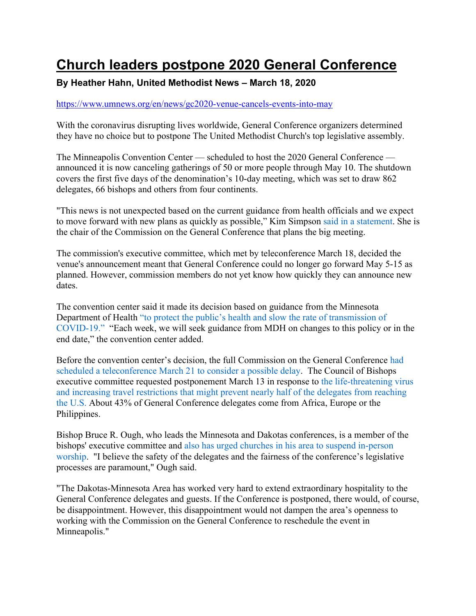## **Church leaders postpone 2020 General Conference**

## **By Heather Hahn, United Methodist News – March 18, 2020**

## https://www.umnews.org/en/news/gc2020-venue-cancels-events-into-may

With the coronavirus disrupting lives worldwide, General Conference organizers determined they have no choice but to postpone The United Methodist Church's top legislative assembly.

The Minneapolis Convention Center — scheduled to host the 2020 General Conference announced it is now canceling gatherings of 50 or more people through May 10. The shutdown covers the first five days of the denomination's 10-day meeting, which was set to draw 862 delegates, 66 bishops and others from four continents.

"This news is not unexpected based on the current guidance from health officials and we expect to move forward with new plans as quickly as possible," Kim Simpson said in a statement. She is the chair of the Commission on the General Conference that plans the big meeting.

The commission's executive committee, which met by teleconference March 18, decided the venue's announcement meant that General Conference could no longer go forward May 5-15 as planned. However, commission members do not yet know how quickly they can announce new dates.

The convention center said it made its decision based on guidance from the Minnesota Department of Health "to protect the public's health and slow the rate of transmission of COVID-19." "Each week, we will seek guidance from MDH on changes to this policy or in the end date," the convention center added.

Before the convention center's decision, the full Commission on the General Conference had scheduled a teleconference March 21 to consider a possible delay. The Council of Bishops executive committee requested postponement March 13 in response to the life-threatening virus and increasing travel restrictions that might prevent nearly half of the delegates from reaching the U.S. About 43% of General Conference delegates come from Africa, Europe or the Philippines.

Bishop Bruce R. Ough, who leads the Minnesota and Dakotas conferences, is a member of the bishops' executive committee and also has urged churches in his area to suspend in-person worship. "I believe the safety of the delegates and the fairness of the conference's legislative processes are paramount," Ough said.

"The Dakotas-Minnesota Area has worked very hard to extend extraordinary hospitality to the General Conference delegates and guests. If the Conference is postponed, there would, of course, be disappointment. However, this disappointment would not dampen the area's openness to working with the Commission on the General Conference to reschedule the event in Minneapolis."